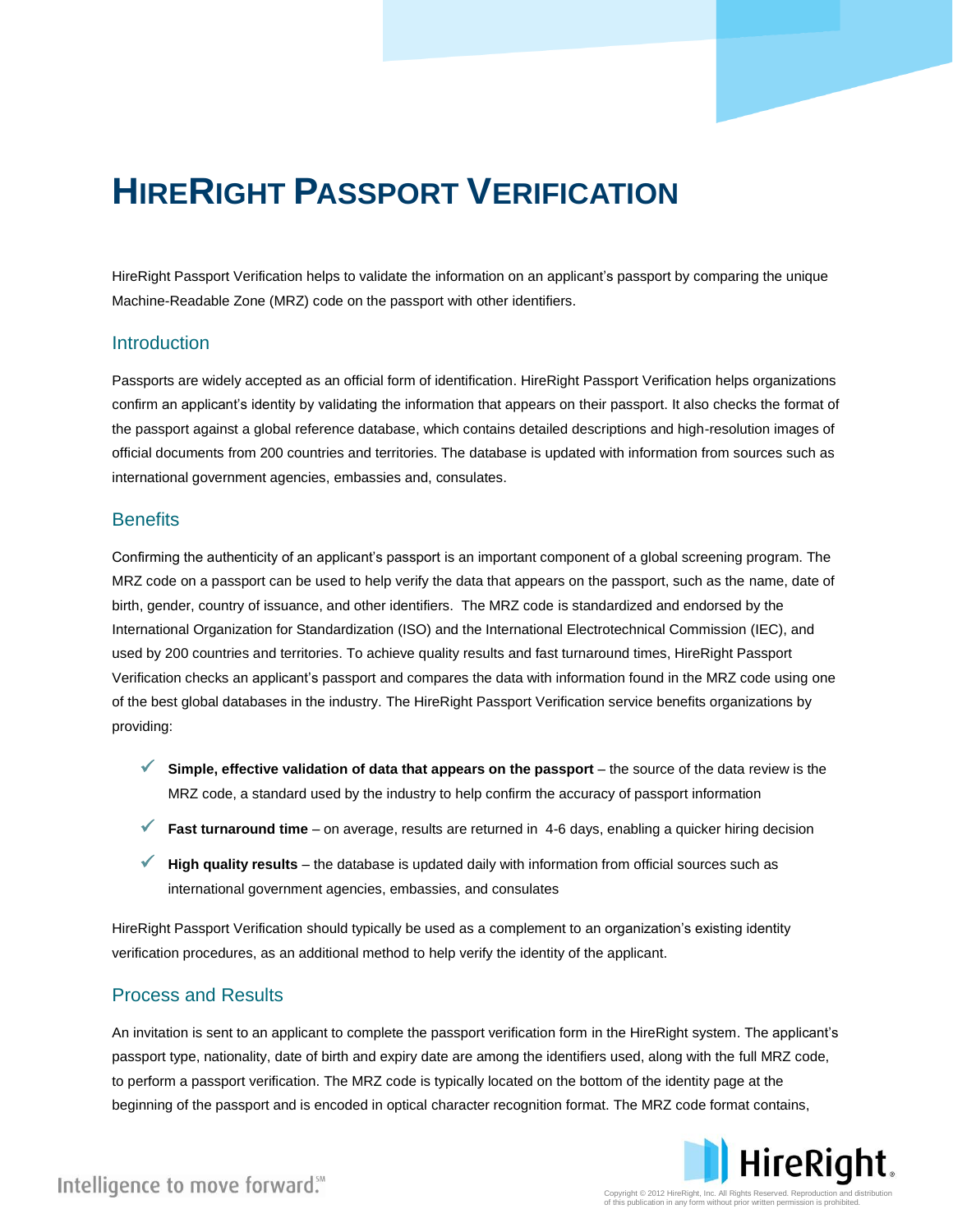# **HIRERIGHT PASSPORT VERIFICATION**

HireRight Passport Verification helps to validate the information on an applicant's passport by comparing the unique Machine-Readable Zone (MRZ) code on the passport with other identifiers.

#### **Introduction**

Passports are widely accepted as an official form of identification. HireRight Passport Verification helps organizations confirm an applicant's identity by validating the information that appears on their passport. It also checks the format of the passport against a global reference database, which contains detailed descriptions and high-resolution images of official documents from 200 countries and territories. The database is updated with information from sources such as international government agencies, embassies and, consulates.

#### **Benefits**

Confirming the authenticity of an applicant's passport is an important component of a global screening program. The MRZ code on a passport can be used to help verify the data that appears on the passport, such as the name, date of birth, gender, country of issuance, and other identifiers. The MRZ code is standardized and endorsed by the International Organization for Standardization (ISO) and the International Electrotechnical Commission (IEC), and used by 200 countries and territories. To achieve quality results and fast turnaround times, HireRight Passport Verification checks an applicant's passport and compares the data with information found in the MRZ code using one of the best global databases in the industry. The HireRight Passport Verification service benefits organizations by providing:

- **Simple, effective validation of data that appears on the passport** the source of the data review is the MRZ code, a standard used by the industry to help confirm the accuracy of passport information
- **Fast turnaround time**  on average, results are returned in 4-6 days, enabling a quicker hiring decision
- **High quality results**  the database is updated daily with information from official sources such as international government agencies, embassies, and consulates

HireRight Passport Verification should typically be used as a complement to an organization's existing identity verification procedures, as an additional method to help verify the identity of the applicant.

## Process and Results

An invitation is sent to an applicant to complete the passport verification form in the HireRight system. The applicant's passport type, nationality, date of birth and expiry date are among the identifiers used, along with the full MRZ code, to perform a passport verification. The MRZ code is typically located on the bottom of the identity page at the beginning of the passport and is encoded in optical character recognition format. The MRZ code format contains,



Intelligence to move forward."